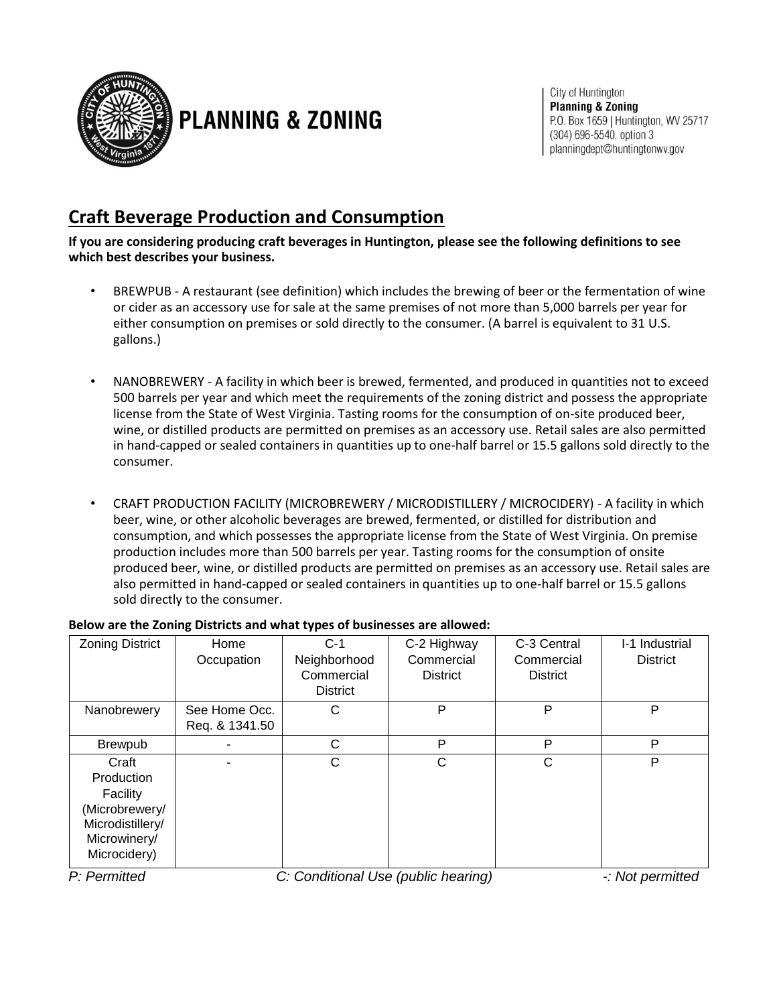

## **PLANNING & ZONING**

City of Huntington **Planning & Zoning** P.O. Box 1659 | Huntington, WV 25717 (304) 696-5540, option 3 planningdept@huntingtonwv.gov

## **Craft Beverage Production and Consumption**

**If you are considering producing craft beverages in Huntington, please see the following definitions to see which best describes your business.** 

- BREWPUB A restaurant (see definition) which includes the brewing of beer or the fermentation of wine or cider as an accessory use for sale at the same premises of not more than 5,000 barrels per year for either consumption on premises or sold directly to the consumer. (A barrel is equivalent to 31 U.S. gallons.)
- NANOBREWERY A facility in which beer is brewed, fermented, and produced in quantities not to exceed 500 barrels per year and which meet the requirements of the zoning district and possess the appropriate license from the State of West Virginia. Tasting rooms for the consumption of on-site produced beer, wine, or distilled products are permitted on premises as an accessory use. Retail sales are also permitted in hand-capped or sealed containers in quantities up to one-half barrel or 15.5 gallons sold directly to the consumer.
- CRAFT PRODUCTION FACILITY (MICROBREWERY / MICRODISTILLERY / MICROCIDERY) A facility in which beer, wine, or other alcoholic beverages are brewed, fermented, or distilled for distribution and consumption, and which possesses the appropriate license from the State of West Virginia. On premise production includes more than 500 barrels per year. Tasting rooms for the consumption of onsite produced beer, wine, or distilled products are permitted on premises as an accessory use. Retail sales are also permitted in hand-capped or sealed containers in quantities up to one-half barrel or 15.5 gallons sold directly to the consumer.

| <b>Zoning District</b> | Home           | $C-1$           | C-2 Highway     | C-3 Central     | I-1 Industrial  |
|------------------------|----------------|-----------------|-----------------|-----------------|-----------------|
|                        | Occupation     | Neighborhood    | Commercial      | Commercial      | <b>District</b> |
|                        |                | Commercial      | <b>District</b> | <b>District</b> |                 |
|                        |                | <b>District</b> |                 |                 |                 |
| Nanobrewery            | See Home Occ.  | С               | P               | P               | P               |
|                        | Req. & 1341.50 |                 |                 |                 |                 |
| <b>Brewpub</b>         |                | C               | P               | P               | P               |
| Craft                  |                | C               | C               | C               | P               |
| Production             |                |                 |                 |                 |                 |
| Facility               |                |                 |                 |                 |                 |
| (Microbrewery/         |                |                 |                 |                 |                 |
| Microdistillery/       |                |                 |                 |                 |                 |
| Microwinery/           |                |                 |                 |                 |                 |
| Microcidery)           |                |                 |                 |                 |                 |

## **Below are the Zoning Districts and what types of businesses are allowed:**

*P: Permitted C: Conditional Use (public hearing) -: Not permitted*